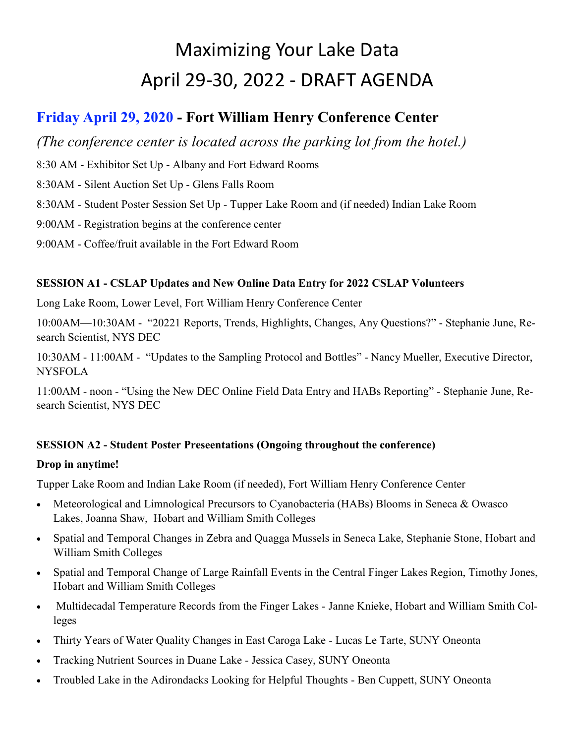# Maximizing Your Lake Data April 29-30, 2022 - DRAFT AGENDA

# **Friday April 29, 2020 - Fort William Henry Conference Center**

*(The conference center is located across the parking lot from the hotel.)*

8:30 AM - Exhibitor Set Up - Albany and Fort Edward Rooms

8:30AM - Silent Auction Set Up - Glens Falls Room

8:30AM - Student Poster Session Set Up - Tupper Lake Room and (if needed) Indian Lake Room

9:00AM - Registration begins at the conference center

9:00AM - Coffee/fruit available in the Fort Edward Room

## **SESSION A1 - CSLAP Updates and New Online Data Entry for 2022 CSLAP Volunteers**

Long Lake Room, Lower Level, Fort William Henry Conference Center

10:00AM—10:30AM - "20221 Reports, Trends, Highlights, Changes, Any Questions?" - Stephanie June, Research Scientist, NYS DEC

10:30AM - 11:00AM - "Updates to the Sampling Protocol and Bottles" - Nancy Mueller, Executive Director, **NYSFOLA** 

11:00AM - noon - "Using the New DEC Online Field Data Entry and HABs Reporting" - Stephanie June, Research Scientist, NYS DEC

## **SESSION A2 - Student Poster Preseentations (Ongoing throughout the conference)**

#### **Drop in anytime!**

Tupper Lake Room and Indian Lake Room (if needed), Fort William Henry Conference Center

- Meteorological and Limnological Precursors to Cyanobacteria (HABs) Blooms in Seneca & Owasco Lakes, Joanna Shaw, Hobart and William Smith Colleges
- Spatial and Temporal Changes in Zebra and Quagga Mussels in Seneca Lake, Stephanie Stone, Hobart and William Smith Colleges
- Spatial and Temporal Change of Large Rainfall Events in the Central Finger Lakes Region, Timothy Jones, Hobart and William Smith Colleges
- Multidecadal Temperature Records from the Finger Lakes Janne Knieke, Hobart and William Smith Colleges
- Thirty Years of Water Quality Changes in East Caroga Lake Lucas Le Tarte, SUNY Oneonta
- Tracking Nutrient Sources in Duane Lake Jessica Casey, SUNY Oneonta
- Troubled Lake in the Adirondacks Looking for Helpful Thoughts Ben Cuppett, SUNY Oneonta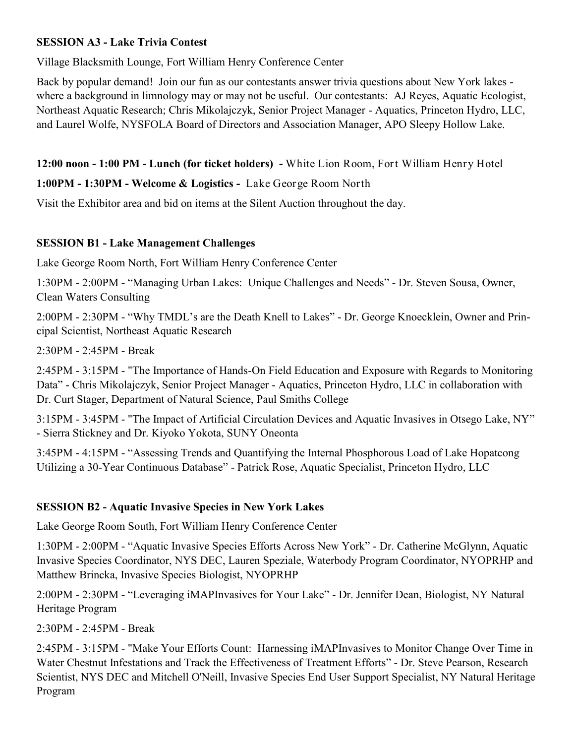#### **SESSION A3 - Lake Trivia Contest**

Village Blacksmith Lounge, Fort William Henry Conference Center

Back by popular demand! Join our fun as our contestants answer trivia questions about New York lakes where a background in limnology may or may not be useful. Our contestants: AJ Reyes, Aquatic Ecologist, Northeast Aquatic Research; Chris Mikolajczyk, Senior Project Manager - Aquatics, Princeton Hydro, LLC, and Laurel Wolfe, NYSFOLA Board of Directors and Association Manager, APO Sleepy Hollow Lake.

**12:00 noon - 1:00 PM - Lunch (for ticket holders) -** White Lion Room, Fort William Henry Hotel

**1:00PM - 1:30PM - Welcome & Logistics -** Lake George Room North

Visit the Exhibitor area and bid on items at the Silent Auction throughout the day.

## **SESSION B1 - Lake Management Challenges**

Lake George Room North, Fort William Henry Conference Center

1:30PM - 2:00PM - "Managing Urban Lakes: Unique Challenges and Needs" - Dr. Steven Sousa, Owner, Clean Waters Consulting

2:00PM - 2:30PM - "Why TMDL's are the Death Knell to Lakes" - Dr. George Knoecklein, Owner and Principal Scientist, Northeast Aquatic Research

2:30PM - 2:45PM - Break

2:45PM - 3:15PM - "The Importance of Hands-On Field Education and Exposure with Regards to Monitoring Data" - Chris Mikolajczyk, Senior Project Manager - Aquatics, Princeton Hydro, LLC in collaboration with Dr. Curt Stager, Department of Natural Science, Paul Smiths College

3:15PM - 3:45PM - "The Impact of Artificial Circulation Devices and Aquatic Invasives in Otsego Lake, NY" - Sierra Stickney and Dr. Kiyoko Yokota, SUNY Oneonta

3:45PM - 4:15PM - "Assessing Trends and Quantifying the Internal Phosphorous Load of Lake Hopatcong Utilizing a 30-Year Continuous Database" - Patrick Rose, Aquatic Specialist, Princeton Hydro, LLC

## **SESSION B2 - Aquatic Invasive Species in New York Lakes**

Lake George Room South, Fort William Henry Conference Center

1:30PM - 2:00PM - "Aquatic Invasive Species Efforts Across New York" - Dr. Catherine McGlynn, Aquatic Invasive Species Coordinator, NYS DEC, Lauren Speziale, Waterbody Program Coordinator, NYOPRHP and Matthew Brincka, Invasive Species Biologist, NYOPRHP

2:00PM - 2:30PM - "Leveraging iMAPInvasives for Your Lake" - Dr. Jennifer Dean, Biologist, NY Natural Heritage Program

2:30PM - 2:45PM - Break

2:45PM - 3:15PM - "Make Your Efforts Count: Harnessing iMAPInvasives to Monitor Change Over Time in Water Chestnut Infestations and Track the Effectiveness of Treatment Efforts" - Dr. Steve Pearson, Research Scientist, NYS DEC and Mitchell O'Neill, Invasive Species End User Support Specialist, NY Natural Heritage Program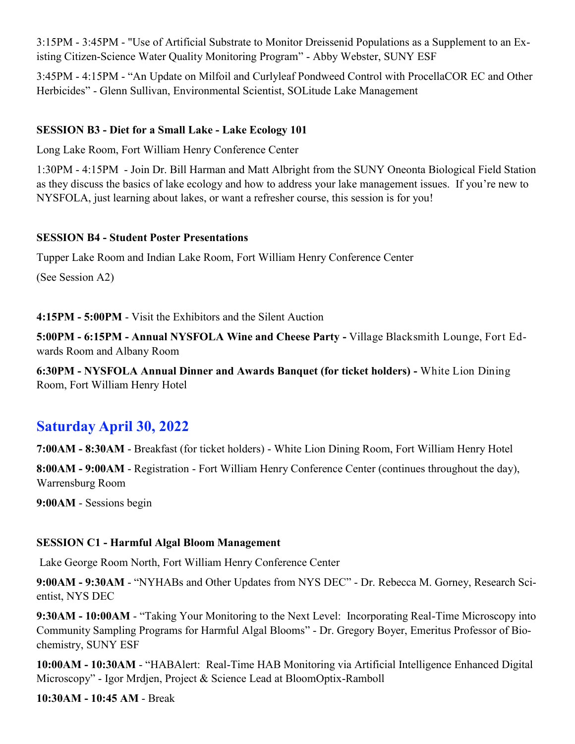3:15PM - 3:45PM - "Use of Artificial Substrate to Monitor Dreissenid Populations as a Supplement to an Existing Citizen-Science Water Quality Monitoring Program" - Abby Webster, SUNY ESF

3:45PM - 4:15PM - "An Update on Milfoil and Curlyleaf Pondweed Control with ProcellaCOR EC and Other Herbicides" - Glenn Sullivan, Environmental Scientist, SOLitude Lake Management

#### **SESSION B3 - Diet for a Small Lake - Lake Ecology 101**

Long Lake Room, Fort William Henry Conference Center

1:30PM - 4:15PM - Join Dr. Bill Harman and Matt Albright from the SUNY Oneonta Biological Field Station as they discuss the basics of lake ecology and how to address your lake management issues. If you're new to NYSFOLA, just learning about lakes, or want a refresher course, this session is for you!

#### **SESSION B4 - Student Poster Presentations**

Tupper Lake Room and Indian Lake Room, Fort William Henry Conference Center

(See Session A2)

**4:15PM - 5:00PM** - Visit the Exhibitors and the Silent Auction

**5:00PM - 6:15PM - Annual NYSFOLA Wine and Cheese Party -** Village Blacksmith Lounge, Fort Edwards Room and Albany Room

**6:30PM - NYSFOLA Annual Dinner and Awards Banquet (for ticket holders) -** White Lion Dining Room, Fort William Henry Hotel

## **Saturday April 30, 2022**

**7:00AM - 8:30AM** - Breakfast (for ticket holders) - White Lion Dining Room, Fort William Henry Hotel

**8:00AM - 9:00AM** - Registration - Fort William Henry Conference Center (continues throughout the day), Warrensburg Room

**9:00AM** - Sessions begin

#### **SESSION C1 - Harmful Algal Bloom Management**

Lake George Room North, Fort William Henry Conference Center

**9:00AM - 9:30AM** - "NYHABs and Other Updates from NYS DEC" - Dr. Rebecca M. Gorney, Research Scientist, NYS DEC

**9:30AM - 10:00AM** - "Taking Your Monitoring to the Next Level: Incorporating Real-Time Microscopy into Community Sampling Programs for Harmful Algal Blooms" - Dr. Gregory Boyer, Emeritus Professor of Biochemistry, SUNY ESF

**10:00AM - 10:30AM** - "HABAlert: Real-Time HAB Monitoring via Artificial Intelligence Enhanced Digital Microscopy" - Igor Mrdjen, Project & Science Lead at BloomOptix-Ramboll

**10:30AM - 10:45 AM** - Break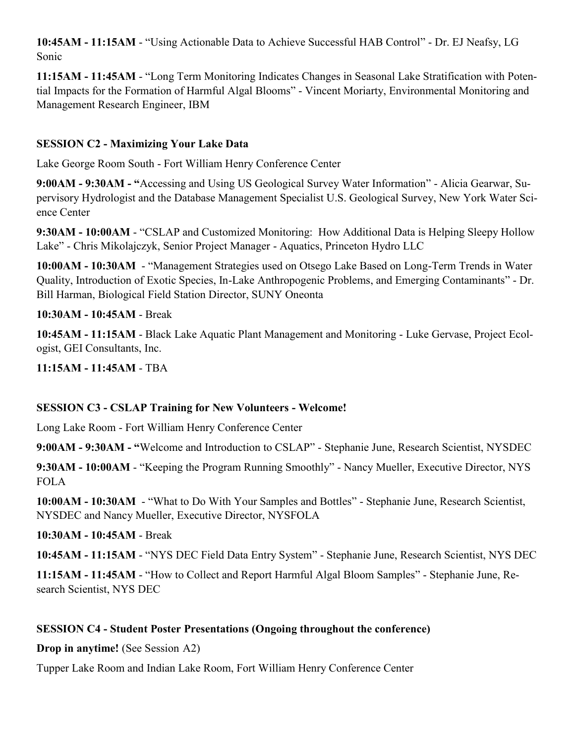**10:45AM - 11:15AM** - "Using Actionable Data to Achieve Successful HAB Control" - Dr. EJ Neafsy, LG Sonic

**11:15AM - 11:45AM** - "Long Term Monitoring Indicates Changes in Seasonal Lake Stratification with Potential Impacts for the Formation of Harmful Algal Blooms" - Vincent Moriarty, Environmental Monitoring and Management Research Engineer, IBM

#### **SESSION C2 - Maximizing Your Lake Data**

Lake George Room South - Fort William Henry Conference Center

**9:00AM - 9:30AM - "**Accessing and Using US Geological Survey Water Information" - Alicia Gearwar, Supervisory Hydrologist and the Database Management Specialist U.S. Geological Survey, New York Water Science Center

**9:30AM - 10:00AM** - "CSLAP and Customized Monitoring: How Additional Data is Helping Sleepy Hollow Lake" - Chris Mikolajczyk, Senior Project Manager - Aquatics, Princeton Hydro LLC

**10:00AM - 10:30AM** - "Management Strategies used on Otsego Lake Based on Long-Term Trends in Water Quality, Introduction of Exotic Species, In-Lake Anthropogenic Problems, and Emerging Contaminants" - Dr. Bill Harman, Biological Field Station Director, SUNY Oneonta

#### **10:30AM - 10:45AM** - Break

**10:45AM - 11:15AM** - Black Lake Aquatic Plant Management and Monitoring - Luke Gervase, Project Ecologist, GEI Consultants, Inc.

**11:15AM - 11:45AM** - TBA

#### **SESSION C3 - CSLAP Training for New Volunteers - Welcome!**

Long Lake Room - Fort William Henry Conference Center

**9:00AM - 9:30AM - "**Welcome and Introduction to CSLAP" - Stephanie June, Research Scientist, NYSDEC

**9:30AM - 10:00AM** - "Keeping the Program Running Smoothly" - Nancy Mueller, Executive Director, NYS FOLA

**10:00AM - 10:30AM** - "What to Do With Your Samples and Bottles" - Stephanie June, Research Scientist, NYSDEC and Nancy Mueller, Executive Director, NYSFOLA

**10:30AM - 10:45AM** - Break

**10:45AM - 11:15AM** - "NYS DEC Field Data Entry System" - Stephanie June, Research Scientist, NYS DEC

**11:15AM - 11:45AM** - "How to Collect and Report Harmful Algal Bloom Samples" - Stephanie June, Research Scientist, NYS DEC

#### **SESSION C4 - Student Poster Presentations (Ongoing throughout the conference)**

**Drop in anytime!** (See Session A2)

Tupper Lake Room and Indian Lake Room, Fort William Henry Conference Center